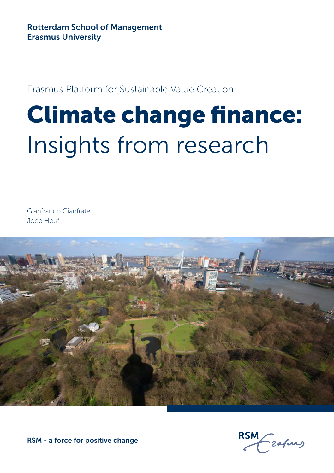### Erasmus Platform for Sustainable Value Creation

### Climate change finance: Insights from research

Gianfranco Gianfrate Joep Houf



zafurg

RSM - a force for positive change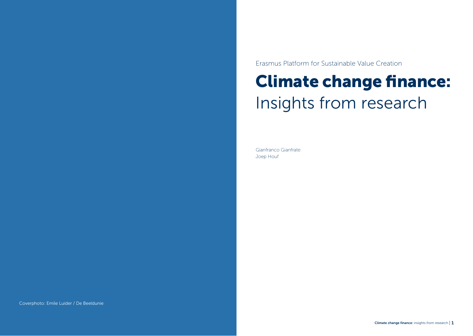Erasmus Platform for Sustainable Value Creation

### Climate change finance: Insights from research

Gianfranco Gianfrate Joep Houf

Coverphoto: Emile Luider / De Beeldunie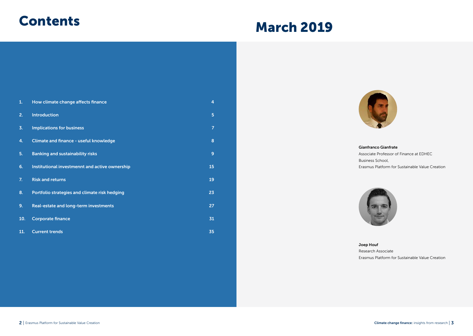### **Contents**

### March 2019

| 1.  | How climate change affects finance             | 4  |  |
|-----|------------------------------------------------|----|--|
| 2.  | <b>Introduction</b>                            | 5  |  |
| 3.  | <b>Implications for business</b>               | 7  |  |
| 4.  | Climate and finance - useful knowledge         | 8  |  |
| 5.  | <b>Banking and sustainability risks</b>        | 9  |  |
| 6.  | Institutional investmennt and active ownership | 15 |  |
| 7.  | <b>Risk and returns</b>                        | 19 |  |
| 8.  | Portfolio strategies and climate risk hedging  | 23 |  |
| 9.  | Real-estate and long-term investments          | 27 |  |
| 10. | <b>Corporate finance</b>                       | 31 |  |
| 11. | <b>Current trends</b>                          | 35 |  |



Gianfranco Gianfrate Associate Professor of Finance at EDHEC Business School, Erasmus Platform for Sustainable Value Creation



Joep Houf Research Associate

Erasmus Platform for Sustainable Value Creation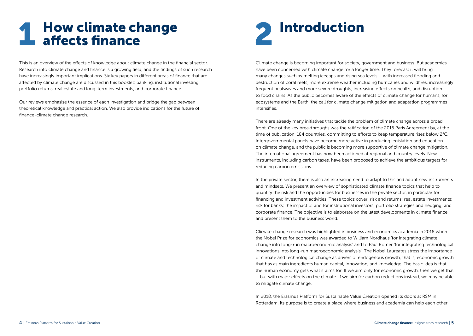### **How climate change** affects finance

This is an overview of the effects of knowledge about climate change in the financial sector. Research into climate change and finance is a growing field, and the findings of such research have increasingly important implications. Six key papers in different areas of finance that are affected by climate change are discussed in this booklet: banking, institutional investing, portfolio returns, real estate and long-term investments, and corporate finance.

Our reviews emphasise the essence of each investigation and bridge the gap between theoretical knowledge and practical action. We also provide indications for the future of finance-climate change research.



Climate change is becoming important for society, government and business. But academics have been concerned with climate change for a longer time. They forecast it will bring many changes such as melting icecaps and rising sea levels – with increased flooding and destruction of coral reefs, more extreme weather including hurricanes and wildfires, increasingly frequent heatwaves and more severe droughts, increasing effects on health, and disruption to food chains. As the public becomes aware of the effects of climate change for humans, for ecosystems and the Earth, the call for climate change mitigation and adaptation programmes intensifies.

There are already many initiatives that tackle the problem of climate change across a broad front. One of the key breakthroughs was the ratification of the 2015 Paris Agreement by, at the time of publication, 184 countries, committing to efforts to keep temperature rises below 2°C. Intergovernmental panels have become more active in producing legislation and education on climate change, and the public is becoming more supportive of climate change mitigation. The international agreement has now been actioned at regional and country levels. New instruments, including carbon taxes, have been proposed to achieve the ambitious targets for reducing carbon emissions.

In the private sector, there is also an increasing need to adapt to this and adopt new instruments and mindsets. We present an overview of sophisticated climate finance topics that help to quantify the risk and the opportunities for businesses in the private sector, in particular for financing and investment activities. These topics cover: risk and returns; real estate investments; risk for banks; the impact of and for institutional investors; portfolio strategies and hedging; and corporate finance. The objective is to elaborate on the latest developments in climate finance and present them to the business world.

Climate change research was highlighted in business and economics academia in 2018 when the Nobel Prize for economics was awarded to William Nordhaus 'for integrating climate change into long-run macroeconomic analysis' and to Paul Romer 'for integrating technological innovations into long-run macroeconomic analysis'. The Nobel Laureates stress the importance of climate and technological change as drivers of endogenous growth, that is, economic growth that has as main ingredients human capital, innovation, and knowledge. The basic idea is that the human economy gets what it aims for. If we aim only for economic growth, then we get that – but with major effects on the climate. If we aim for carbon reductions instead, we may be able to mitigate climate change.

In 2018, the Erasmus Platform for Sustainable Value Creation opened its doors at RSM in Rotterdam. Its purpose is to create a place where business and academia can help each other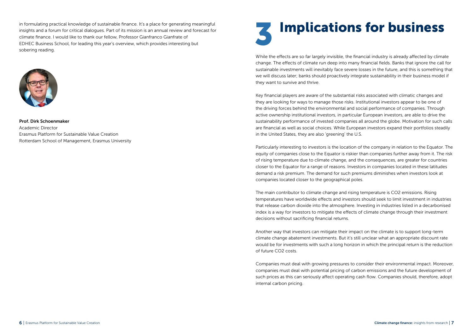in formulating practical knowledge of sustainable finance. It's a place for generating meaningful insights and a forum for critical dialogues. Part of its mission is an annual review and forecast for climate finance. I would like to thank our fellow, Professor Gianfranco Gianfrate of EDHEC Business School, for leading this year's overview, which provides interesting but sobering reading.



Prof. Dirk Schoenmaker Academic Director Erasmus Platform for Sustainable Value Creation Rotterdam School of Management, Erasmus University

### **Implications for business**

While the effects are so far largely invisible, the financial industry is already affected by climate change. The effects of climate run deep into many financial fields. Banks that ignore the call for sustainable investments will inevitably face severe losses in the future, and this is something that we will discuss later; banks should proactively integrate sustainability in their business model if they want to survive and thrive.

Key financial players are aware of the substantial risks associated with climatic changes and they are looking for ways to manage those risks. Institutional investors appear to be one of the driving forces behind the environmental and social performance of companies. Through active ownership institutional investors, in particular European investors, are able to drive the sustainability performance of invested companies all around the globe. Motivation for such calls are financial as well as social choices. While European investors expand their portfolios steadily in the United States, they are also 'greening' the U.S.

Particularly interesting to investors is the location of the company in relation to the Equator. The equity of companies close to the Equator is riskier than companies further away from it. The risk of rising temperature due to climate change, and the consequences, are greater for countries closer to the Equator for a range of reasons. Investors in companies located in these latitudes demand a risk premium. The demand for such premiums diminishes when investors look at companies located closer to the geographical poles.

The main contributor to climate change and rising temperature is CO2 emissions. Rising temperatures have worldwide effects and investors should seek to limit investment in industries that release carbon dioxide into the atmosphere. Investing in industries listed in a decarbonised index is a way for investors to mitigate the effects of climate change through their investment decisions without sacrificing financial returns.

Another way that investors can mitigate their impact on the climate is to support long-term climate change abatement investments. But it's still unclear what an appropriate discount rate would be for investments with such a long horizon in which the principal return is the reduction of future CO2 costs.

Companies must deal with growing pressures to consider their environmental impact. Moreover, companies must deal with potential pricing of carbon emissions and the future development of such prices as this can seriously affect operating cash flow. Companies should, therefore, adopt internal carbon pricing.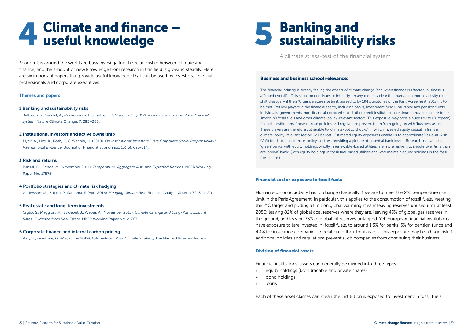## 4 Climate and finance – useful knowledge

Economists around the world are busy investigating the relationship between climate and finance, and the amount of new knowledge from research in this field is growing steadily. Here are six important papers that provide useful knowledge that can be used by investors, financial professionals and corporate executives.

### Themes and papers

### 1 Banking and sustainability risks

Battiston, S., Mandel, A., Monasterolo, J., Schütze, F., & Visentin, G. (2017). *A climate stress-test of the financial system*, Nature Climate Change, 7: 283–288.

### 2 Institutional investors and active ownership

Dyck, A., Lins, K., Roth, L., & Wagner, H. (2019), *Do Institutional Investors Drive Corporate Social Responsibility? International Evidence,* Journal of Financial Economics, 131(3): 693-714.

### 3 Risk and returns

Bansal, R., Ochoa, M. (November 2011), *Temperature, Aggregate Risk, and Expected Returns,* NBER Working Paper No. 17575

### 4 Portfolio strategies and climate risk hedging

Andersson, M., Bolton, P., Samama, F. (April 2016), *Hedging Climate Risk*, Financial Analysts Journal 72 (3): 1-20.

### 5 Real estate and long-term investments

Giglio, S., Maggiori, M., Stroebel, J., Weber, A. (November 2015), *Climate Change and Long-Run Discount Rates: Evidence from Real Estate,* NBER Working Paper No. 21767

### 6 Corporate finance and internal carbon pricing

Aldy, J., Gianfrate, G. (May-June 2019), *Future-Proof Your Climate Strategy,* The Harvard Business Review.

# 5 Banking and sustainability risks

A climate stress-test of the financial system

### Business and business school relevance:

The financial industry is already feeling the effects of climate change (and when finance is affected, business is affected overall). This situation continues to intensify. In any case it is clear that human economic activity must shift drastically if the 2°C temperature rise limit, agreed to by 184 signatories of the Paris Agreement (2018), is to be met. Yet key players in the financial sector, including banks, investment funds, insurance and pension funds, individuals, governments, non-financial companies and other credit institutions, continue to have exposure to (or 'invest in') fossil fuels and other climate-policy-relevant sectors. This exposure may pose a huge risk to (European) financial institutions if new climate policies and regulations prevent them from going on with 'business as usual'. These players are therefore vulnerable to 'climate-policy shocks', in which invested equity capital in firms in climate-policy-relevant sectors will be lost. Estimated equity exposures enable us to approximate Value-at-Risk (VaR) for shocks to climate-policy-sectors, providing a picture of potential bank losses. Research indicates that 'green' banks, with equity holdings wholly in renewable-based utilities, are more resilient to shocks over time than are 'brown' banks (with equity holdings in fossil fuel-based utilities and who maintain equity holdings in the fossil fuel sector.)

### Financial sector exposure to fossil fuels

Human economic activity has to change drastically if we are to meet the 2°C temperature rise limit in the Paris Agreement; in particular, this applies to the consumption of fossil fuels. Meeting the 2°C target and putting a limit on global warming means leaving reserves unused until at least 2050: leaving 82% of global coal reserves where they are, leaving 49% of global gas reserves in the ground, and leaving 33% of global oil reserves untapped. Yet, European financial institutions have exposure to (are invested in) fossil fuels, to around 1.3% for banks, 5% for pension funds and 4.4% for insurance companies, in relation to their total assets. This exposure may be a huge risk if additional policies and regulations prevent such companies from continuing their business.

### Division of financial assets

Financial institutions' assets can generally be divided into three types:

- » equity holdings (both tradable and private shares)
- » bond holdings
- » loans

Each of these asset classes can mean the institution is exposed to investment in fossil fuels.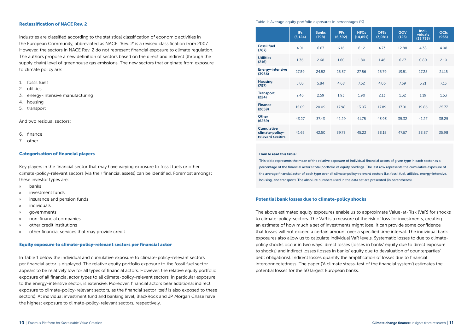### Reclassification of NACE Rev. 2

Industries are classified according to the statistical classification of economic activities in the European Community, abbreviated as NACE. 'Rev. 2' is a revised classification from 2007. However, the sectors in NACE Rev. 2 do not represent financial exposure to climate regulation. The authors propose a new definition of sectors based on the direct and indirect (through the supply chain) level of greenhouse gas emissions. The new sectors that originate from exposure to climate policy are:

- 1. fossil fuels
- 2. utilities
- 3. energy-intensive manufacturing
- 4. housing
- 5. transport

And two residual sectors:

- 6. finance
- 7. other

### Categorisation of financial players

Key players in the financial sector that may have varying exposure to fossil fuels or other climate-policy-relevant sectors (via their financial assets) can be identified. Foremost amongst these investor types are:

- » banks
- » investment funds
- » insurance and pension funds
- » individuals
- » governments
- » non-financial companies
- » other credit institutions
- » other financial services that may provide credit

### Equity exposure to climate-policy-relevant sectors per financial actor

In Table 1 below the individual and cumulative exposure to climate-policy-relevant sectors per financial actor is displayed. The relative equity portfolio exposure to the fossil fuel sector appears to be relatively low for all types of financial actors. However, the relative equity portfolio exposure of all financial actor types to all climate-policy-relevant sectors, in particular exposure to the energy-intensive sector, is extensive. Moreover, financial actors bear additional indirect exposure to climate-policy-relevant sectors, as the financial sector itself is also exposed to these sectors). At individual investment fund and banking level, BlackRock and JP Morgan Chase have the highest exposure to climate-policy-relevant sectors, respectively.

### Table 1: Average equity portfolio exposures in percentages (%).

|                                                          | IFs.<br>(5, 124) | <b>Banks</b><br>(798) | <b>IPFs</b><br>(6, 392) | <b>NFCs</b><br>(14, 851) | <b>OFSs</b><br>(3,081) | <b>GOV</b><br>(125) | Indi-<br>viduals<br>(33,733) | <b>OCIS</b><br>(955) |
|----------------------------------------------------------|------------------|-----------------------|-------------------------|--------------------------|------------------------|---------------------|------------------------------|----------------------|
| <b>Fossil fuel</b><br>(767)                              | 4.91             | 6.87                  | 6.16                    | 6.12                     | 4.73                   | 12.88               | 4.38                         | 4.08                 |
| <b>Utilities</b><br>(216)                                | 1.36             | 2.68                  | 1.60                    | 1.80                     | 1.46                   | 6.27                | 0.80                         | 2.10                 |
| <b>Energy-intensive</b><br>(3956)                        | 27.89            | 24.52                 | 25.37                   | 27.86                    | 25.79                  | 19.51               | 27.28                        | 21.15                |
| <b>Housing</b><br>(797)                                  | 5.03             | 5.84                  | 4.68                    | 7.52                     | 4.06                   | 7.69                | 5.21                         | 7.13                 |
| <b>Transport</b><br>(224)                                | 2.46             | 2.59                  | 1.93                    | 1.90                     | 2.13                   | 1.32                | 1.19                         | 1.53                 |
| <b>Finance</b><br>(2659)                                 | 15.09            | 20.09                 | 17.98                   | 13.03                    | 17.89                  | 17.01               | 19.86                        | 25.77                |
| Other<br>(6259)                                          | 43.27            | 37.43                 | 42.29                   | 41.75                    | 43.93                  | 35.32               | 41.27                        | 38.25                |
| <b>Cumulative</b><br>climate-policy-<br>relevant sectors | 41.65            | 42.50                 | 39.73                   | 45.22                    | 38.18                  | 47.67               | 38.87                        | 35.98                |

### How to read this table:

This table represents the mean of the relative exposure of individual financial actors of given type in each sector as a percentage of the financial actor's total portfolio of equity holdings. The last row represents the cumulative exposure of the average financial actor of each type over all climate-policy-relevant sectors (i.e. fossil fuel, utilities, energy-intensive, housing, and transport). The absolute numbers used in the data set are presented (in parentheses).

### Potential bank losses due to climate-policy shocks

The above estimated equity exposures enable us to approximate Value-at-Risk (VaR) for shocks to climate-policy-sectors. The VaR is a measure of the risk of loss for investments, creating an estimate of how much a set of investments might lose. It can provide some confidence that losses will not exceed a certain amount over a specified time interval. The individual bank exposures also allow us to calculate individual VaR levels. Systematic losses to due to climatepolicy shocks occur in two ways: direct losses (losses in banks' equity due to direct exposure to shocks) and indirect losses (losses in banks' equity due to devaluation of counterparties' debt obligations). Indirect losses quantify the amplification of losses due to financial interconnectedness. The paper ('A climate stress-test of the financial system') estimates the potential losses for the 50 largest European banks.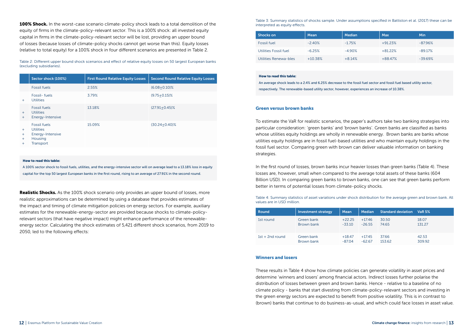100% Shock. In the worst-case scenario climate-policy shock leads to a total demolition of the equity of firms in the climate-policy-relevant sector. This is a 100% shock: all invested equity capital in firms in the climate-policy-relevant sector will be lost, providing an upper bound of losses (because losses of climate-policy shocks cannot get worse than this). Equity losses (relative to total equity) for a 100% shock in four different scenarios are presented in Table 2.

Table 2: Different upper bound shock scenarios and effect of relative equity losses on 50 largest European banks (excluding subsidiaries).

|                          | Sector shock (100%)                                                                 | <b>First Round Relative Equity Losses</b> | <b>Second Round Relative Equity Losses</b> |
|--------------------------|-------------------------------------------------------------------------------------|-------------------------------------------|--------------------------------------------|
|                          | <b>Fossil fuels</b>                                                                 | 2.55%                                     | $(6.08 + 0.10)\%$                          |
| $+$                      | Fossil-fuels<br><b>Utilities</b>                                                    | 3.79%                                     | $(9.75 + 0.15)\%$                          |
| $+$<br>$+$               | <b>Fossil fuels</b><br><b>Utilities</b><br>Energy-Intensive                         | 13.18%                                    | $(27.91 + 0.45)\%$                         |
| $+$<br>$+$<br>$+$<br>$+$ | <b>Fossil fuels</b><br><b>Utilities</b><br>Energy-Intensive<br>Housing<br>Transport | 15.09%                                    | $(30.24 + 0.40)\%$                         |

### How to read this table:

A 100% sector shock to fossil fuels, utilities, and the energy-intensive sector will on average lead to a 13.18% loss in equity capital for the top 50 largest European banks in the first round, rising to an average of 27.91% in the second round.

**Realistic Shocks.** As the 100% shock scenario only provides an upper bound of losses, more realistic approximations can be determined by using a database that provides estimates of the impact and timing of climate mitigation policies on energy sectors. For example, auxiliary estimates for the renewable-energy-sector are provided because shocks to climate-policyrelevant sectors (that have negative impact) might enhance performance of the renewableenergy sector. Calculating the shock estimates of 5,421 different shock scenarios, from 2019 to 2050, led to the following effects:

Table 3: Summary statistics of shocks sample. Under assumptions specified in Battiston et al. (2017) these can be interpreted as equity effects.

| <b>Shocks on</b>      | Mean      | Median   | Max       | Min       |
|-----------------------|-----------|----------|-----------|-----------|
| <b>Fossil fuel</b>    | $-2.40%$  | $-1.75%$ | $+91.23%$ | $-87.96%$ |
| Utilities Fossil fuel | $-6.25%$  | $-4.90%$ | $+81.22%$ | $-89.17%$ |
| Utilities Renewa-bles | $+10.38%$ | $+8.14%$ | $+88.47%$ | $-39.69%$ |

### How to read this table:

An average shock leads to a 2.4% and 6.25% decrease to the fossil fuel sector and fossil fuel based utility sector, respectively. The renewable-based utility sector, however, experiences an increase of 10.38%.

### Green versus brown banks

To estimate the VaR for realistic scenarios, the paper's authors take two banking strategies into particular consideration: 'green banks' and 'brown banks'. Green banks are classified as banks whose utilities equity holdings are wholly in renewable energy. Brown banks are banks whose utilities equity holdings are in fossil fuel-based utilities and who maintain equity holdings in the fossil fuel sector. Comparing green with brown can deliver valuable information on banking strategies.

In the first round of losses, brown banks incur heavier losses than green banks (Table 4). These losses are, however, small when compared to the average total assets of these banks (604 Billion USD). In comparing green banks to brown banks, one can see that green banks perform better in terms of potential losses from climate-policy shocks.

Table 4: Summary statistics of asset variations under shock distribution for the average green and brown bank. All values are in USD million.

| Round             | <b>Investment strategy</b> | Mean     | <b>Median</b> | <b>Standard deviation</b> | <b>VaR 5%</b> |
|-------------------|----------------------------|----------|---------------|---------------------------|---------------|
| 1st round         | Green bank                 | $+22.25$ | $+17.46$      | 30.50                     | 18.07         |
|                   | Brown bank                 | $-33.10$ | $-26.55$      | 74.65                     | 131.27        |
| $1st + 2nd$ round | Green bank                 | $+18.47$ | $+17.45$      | 37.66                     | 42.53         |
|                   | Brown bank                 | $-87.04$ | $-62.67$      | 153.62                    | 309.92        |

### Winners and losers

These results in Table 4 show how climate policies can generate volatility in asset prices and determine 'winners and losers' among financial actors. Indirect losses further polarise the distribution of losses between green and brown banks. Hence - relative to a baseline of no climate policy - banks that start divesting from climate-policy-relevant sectors and investing in the green energy sectors are expected to benefit from positive volatility. This is in contrast to (brown) banks that continue to do business-as-usual, and which could face losses in asset value.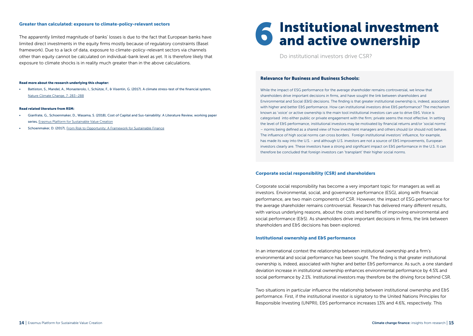### Greater than calculated: exposure to climate-policy-relevant sectors

The apparently limited magnitude of banks' losses is due to the fact that European banks have limited direct investments in the equity firms mostly because of regulatory constraints (Basel framework). Due to a lack of data, exposure to climate-policy-relevant sectors via channels other than equity cannot be calculated on individual-bank level as yet. It is therefore likely that exposure to climate shocks is in reality much greater than in the above calculations.

### Read more about the research underlying this chapter:

• Battiston, S., Mandel, A., Monasterolo, I., Schütze, F., & Visentin, G. (2017). A climate stress-test of the financial system, [Nature Climate Change, 7: 283–288](https://www.nature.com/articles/nclimate3255)

### Read related literature from RSM:

- Gianfrate, G., Schoenmaker, D., Wasama, S. (2018), Cost of Capital and Sus-tainability: A Literature Review, working paper series, [Erasmus Platform for Sustainable Value Creation](https://www.rsm.nl/fileadmin/Images_NEW/Erasmus_Platform_for_Sustainable_Value_Creation/11_04_Cost_of_Capital.pdf)
- Schoenmaker, D. (2017), [From Risk to Opportunity: A Framework for Sustainable Finance](https://www.rsm.nl/fileadmin/Images_NEW/General/28068_brochure_From_Risk_to_Opportunity_Online.pdf)

# 6 Institutional investment and active ownership

Do institutional investors drive CSR?

### Relevance for Business and Business Schools:

While the impact of ESG performance for the average shareholder remains controversial, we know that shareholders drive important decisions in firms, and have sought the link between shareholders and Environmental and Social (E&S) decisions. The finding is that greater institutional ownership is, indeed, associated with higher and better E&S performance. How can institutional investors drive E&S performance? The mechanism known as 'voice' or active ownership is the main tool institutional investors can use to drive E&S. Voice is categorised into either public or private engagement with the firm; private seems the most effective. In setting the level of E&S performance, institutional investors may be motivated by financial returns and/or 'social norms' – norms being defined as a shared view of how investment managers and others should (or should not) behave. The influence of high social norms can cross borders. Foreign institutional investors' influence, for example, has made its way into the U.S. - and although U.S. investors are not a source of E&S improvements, European investors clearly are. These investors have a strong and significant impact on E&S performance in the U.S. It can therefore be concluded that foreign investors can 'transplant' their higher social norms.

### Corporate social responsibility (CSR) and shareholders

Corporate social responsibility has become a very important topic for managers as well as investors. Environmental, social, and governance performance (ESG), along with financial performance, are two main components of CSR. However, the impact of ESG performance for the average shareholder remains controversial. Research has delivered many different results, with various underlying reasons, about the costs and benefits of improving environmental and social performance (E&S). As shareholders drive important decisions in firms, the link between shareholders and E&S decisions has been explored.

### Institutional ownership and E&S performance

In an international context the relationship between institutional ownership and a firm's environmental and social performance has been sought. The finding is that greater institutional ownership is, indeed, associated with higher and better E&S performance. As such, a one standard deviation increase in institutional ownership enhances environmental performance by 4.5% and social performance by 2.1%. Institutional investors may therefore be the driving force behind CSR.

Two situations in particular influence the relationship between institutional ownership and E&S performance. First, if the institutional investor is signatory to the United Nations Principles for Responsible Investing (UNPRI), E&S performance increases 13% and 4.6%, respectively. This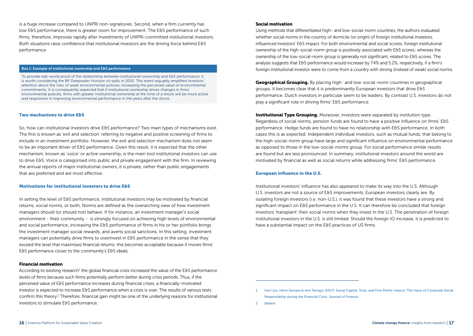is a huge increase compared to UNPRI non-signatories. Second, when a firm currently has low E&S performance, there is greater room for improvement. The E&S performance of such firms, therefore, improves rapidly after investments of UNPRI-committed institutional investors. Both situations raise confidence that institutional investors are the driving force behind E&S performance.

### Box 1: Example of institutional ownership and E&S performance

To provide real-world proof of the relationship between institutional ownership and E&S performance, it is worth considering the BP Deepwater Horizon oil spills in 2010. This event arguably amplified investors' attention about the risks of weak environmental policies, increasing the perceived value of environmental commitments. It is consequently expected that if institutional ownership drives changes in firms' environmental policies, firms with greater institutional ownership at the time of a shock will be more active and responsive in improving environmental performance in the years after the shock.

### Two mechanisms to drive E&S

So, how can institutional investors drive E&S performance? Two main types of mechanisms exist. The first is known as 'exit and selection' referring to negative and positive screening of firms to include in an investment portfolio. However, the exit and selection mechanism does not seem to be an important driver of E&S performance. Given this result, it is expected that the other mechanism, known as 'voice' or active ownership, is the main tool institutional investors can use to drive E&S. Voice is categorised into public and private engagement with the firm. In reviewing the annual reports of major institutional owners, it is private, rather than public engagements that are preferred and are most effective.

### Motivations for institutional investors to drive E&S

In setting the level of E&S performance, institutional investors may be motivated by financial returns, social norms, or both. Norms are defined as the overarching view of how investment managers should (or should not) behave. If for instance, an investment manager's social environment - their community - is strongly focused on achieving high levels of environmental and social performance, increasing the E&S performance of firms in his or her portfolio brings the investment manager social rewards, and averts social sanctions. In this setting, investment managers can potentially drive firms to overinvest in E&S performance in the sense that they exceed the level that maximises financial returns; this becomes acceptable because it moves firms' E&S performance closer to the community's E&S ideals.

### Financial motivation

According to existing research<sup>1</sup> the global financial crisis increased the value of the E&S performance levels of firms because such firms potentially perform better during crisis periods. Thus, if the perceived value of E&S performance increases during financial crises, a financially-motivated investor is expected to increase E&S performance when a crisis is over. The results of various tests confirm this theory.<sup>2</sup> Therefore, financial gain might be one of the underlying reasons for institutional investors to stimulate E&S performance.

### Social motivation

Using methods that differentiated high- and low-social-norm countries, the authors evaluated whether social norms in the country of domicile (or origin) of foreign institutional investors, influenced investors' E&S impact. For both environmental and social scores, foreign institutional ownership of the high-social-norm group is positively associated with E&S scores; whereas the ownership of the low-social-norm group is generally not significant, related to E&S scores. The analysis suggests that E&S performance would increase by 7.4% and 5.2%, respectively, if a firm's foreign institutional investor were to come from a country with strong (instead of weak) social norms.

Geographical Grouping. By placing high- and low-social-norm countries in geographical groups, it becomes clear that it is predominantly European investors that drive E&S performance. Dutch investors in particular seem to be leaders. By contrast U.S. investors do not play a significant role in driving firms' E&S performance.

**Institutional Type Grouping.** Moreover, investors were separated by institution type. Regardless of social norms, pension funds are found to have a positive influence on firms' E&S performance. Hedge funds are found to have no relationship with E&S performance. In both cases this is as expected. Independent individual investors, such as mutual funds, that belong to the high-social-norm group have large and significant influence on environmental performance as opposed to those in the low-social-norms group. For social performance similar results are found but are less pronounced. In summary, institutional investors around the world are motivated by financial as well as social returns while addressing firms' E&S performance.

### European influence in the U.S.

Institutional investors' influence has also appeared to make its way into the U.S. Although U.S. investors are not a source of E&S improvements, European investors clearly are. By isolating foreign investors (i.e. non-U.S.), it was found that these investors have a strong and significant impact on E&S performance in the U.S. It can therefore be concluded that foreign investors 'transplant' their social norms when they invest in the U.S. The penetration of foreign institutional investors in the U.S. is still limited. Should the foreign IO increase, it is predicted to have a substantial impact on the E&S practices of US firms.

2 Ibidem.

<sup>1</sup> Karl Lins, Henri Servaes & Ane Tamayo (2017). Social Capital, Trust, and Firm Perfor-mance: The Value of Corporate Social Responsibility during the Financial Crisis. Journal of Finance.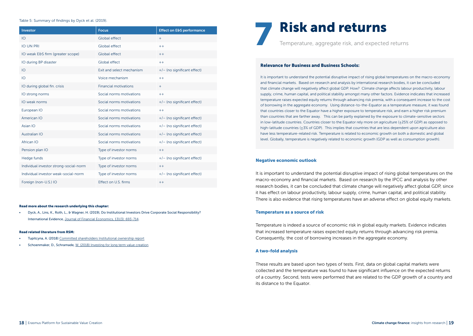### Table 5: Summary of findings by Dyck et al. (2019).

| Investor                               | <b>Focus</b>                 | <b>Effect on E&amp;S performance</b> |
|----------------------------------------|------------------------------|--------------------------------------|
| IO                                     | Global effect                | $+$                                  |
| <b>IO UN PRI</b>                       | Global effect                | $+ +$                                |
| IO weak E&S firm (greater scope)       | <b>Global effect</b>         | $+ +$                                |
| IO during BP disaster                  | Global effect                | $++$                                 |
| IO                                     | Exit and select mechanism    | $+/-$ (no significant effect)        |
| IO                                     | Voice mechanism              | $++$                                 |
| IO during global fin. crisis           | <b>Financial motivations</b> | $+$                                  |
| IO strong norms                        | Social norms motivations     | $++$                                 |
| IO weak norms                          | Social norms motivations     | +/- (no significant effect)          |
| European IO                            | Social norms motivations     | $+ +$                                |
| American IO                            | Social norms motivations     | +/- (no significant effect)          |
| Asian IO                               | Social norms motivations     | +/- (no significant effect)          |
| Australian IO                          | Social norms motivations     | +/- (no significant effect)          |
| African IO                             | Social norms motivations     | +/- (no significant effect)          |
| Pension plan IO                        | Type of investor norms       | $+ +$                                |
| Hedge funds                            | Type of investor norms       | +/- (no significant effect)          |
| Individual investor strong-social-norm | Type of investor norms       | $++$                                 |
| Individual investor weak-social-norm   | Type of investor norms       | +/- (no significant effect)          |
| Foreign (non-U.S.) IO                  | Effect on U.S. firms         | $++$                                 |

### Read more about the research underlying this chapter:

• Dyck, A., Lins, K., Roth, L., & Wagner, H. (2019), Do Institutional Investors Drive Corporate Social Responsibility? International Evidence, [Journal of Financial Economics, 131\(3\): 693-714](https://www.sciencedirect.com/science/article/pii/S0304405X18302381).

### Read related literature from RSM:

- Tupitcyna, A. (2018) [Committed shareholders Institutional ownership report](https://www.rsm.nl/fileadmin/Images_NEW/Erasmus_Platform_for_Sustainable_Value_Creation/Committed_shareholders_01.pdf)
- Schoenmaker, D., Schramade, [W. \(2018\) Investing for long term value creation](https://www.rsm.nl/fileadmin/Images_NEW/Erasmus_Platform_for_Sustainable_Value_Creation/11_01_Working_Papers_LTVC.pdf)



### Relevance for Business and Business Schools:

It is important to understand the potential disruptive impact of rising global temperatures on the macro-economy and financial markets. Based on research and analysis by international research bodies, it can be concluded that climate change will negatively affect global GDP. How? Climate change affects labour productivity, labour supply, crime, human capital, and political stability amongst many other factors. Evidence indicates that increased temperature raises expected equity returns through advancing risk premia, with a consequent increase to the cost of borrowing in the aggregate economy. Using distance-to-the-Equator as a temperature measure, it was found that countries closer to the Equator have a higher exposure to temperature risk, and earn a higher risk premium than countries that are farther away. This can be partly explained by the exposure to climate-sensitive sectors in low-latitude countries. Countries closer to the Equator rely more on agriculture (±25% of GDP) as opposed to high-latitude countries (+3% of GDP). This implies that countries that are less dependent upon agriculture also have less temperature-related risk. Temperature is related to economic growth on both a domestic and global level. Globally, temperature is negatively related to economic growth (GDP as well as consumption growth).

### Negative economic outlook

It is important to understand the potential disruptive impact of rising global temperatures on the macro-economy and financial markets. Based on research by the IPCC and analysis by other research bodies, it can be concluded that climate change will negatively affect global GDP, since it has effect on labour productivity, labour supply, crime, human capital, and political stability. There is also evidence that rising temperatures have an adverse effect on global equity markets.

### Temperature as a source of risk

Temperature is indeed a source of economic risk in global equity markets. Evidence indicates that increased temperature raises expected equity returns through advancing risk premia. Consequently, the cost of borrowing increases in the aggregate economy.

### A two-fold analysis

These results are based upon two types of tests. First, data on global capital markets were collected and the temperature was found to have significant influence on the expected returns of a country. Second, tests were performed that are related to the GDP growth of a country and its distance to the Equator.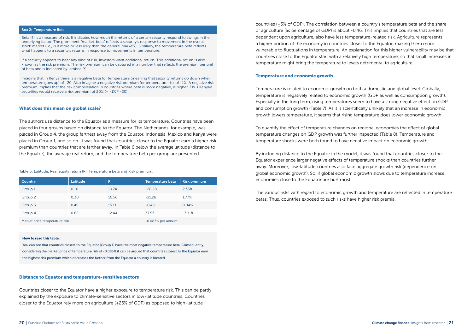### Box 2: Temperature Beta

Beta (β) is a measure of risk. It indicates how much the returns of a certain security respond to swings in the underlying factor. The prominent "market-beta" reflects a security's response to movement in the overall stock market (i.e., is it more or less risky than the general market?). Similarly, the temperature beta reflects what happens to a security's returns in response to movements in temperature.

If a security appears to bear any kind of risk, investors want additional return. This additional return is also known as the risk premium. The risk premium can be captured in a number that reflects the premium per unit of beta and is indicated by lambda (λ).

Imagine that in Kenya there is a negative beta for temperature (meaning that security returns go down when temperature goes up) of -20. Also imagine a negative risk premium for temperature risk of -1%. A negative risk premium implies that the risk compensation in countries where beta is more negative, is higher. Thus Kenyan securities would receive a risk premium of 20% (= -1% \* -20).

### What does this mean on global scale?

The authors use distance to the Equator as a measure for its temperature. Countries have been placed in four groups based on distance to the Equator. The Netherlands, for example, was placed in Group 4, the group farthest away from the Equator. Indonesia, Mexico and Kenya were placed in Group 1, and so on. It was found that countries closer to the Equator earn a higher risk premium than countries that are farther away. In Table 6 below the average latitude (distance to the Equator), the average real return, and the temperature beta per group are presented.

Table 6: Latitude, Real equity return (R), Temperature beta and Risk premium.

| Country                       | Latitude | R                   | <b>Temperature beta</b> | <b>Risk premium</b> |
|-------------------------------|----------|---------------------|-------------------------|---------------------|
| Group 1                       | 0.10     | 19.74               | $-28.28$                | 2.35%               |
| Group 2                       | 0.30     | 16.56               | $-21.28$                | 1.77%               |
| Group 3                       | 0.45     | 15.11               | $-0.45$                 | 0.04%               |
| Group 4                       | 0.62     | 12.44               | 37.53                   | $-3.11%$            |
| Market price temperature risk |          | $-0.083%$ per annum |                         |                     |

### How to read this table:

You can see that countries closest to the Equator (Group 1) have the most negative temperature beta. Consequently, considering the market price of temperature risk of -0.083% it can be argued that countries closest to the Equator earn the highest risk premium which decreases the farther from the Equator a country is located.

### Distance to Equator and temperature-sensitive sectors

Countries closer to the Equator have a higher exposure to temperature risk. This can be partly explained by the exposure to climate-sensitive sectors in low-latitude countries. Countries closer to the Equator rely more on agriculture (±25% of GDP) as opposed to high-latitude

countries (±3% of GDP). The correlation between a country's temperature beta and the share of agriculture (as percentage of GDP) is about -0.46. This implies that countries that are less dependent upon agriculture, also have less temperature-related risk. Agriculture represents a higher portion of the economy in countries closer to the Equator, making them more vulnerable to fluctuations in temperature. An explanation for this higher vulnerability may be that countries close to the Equator start with a relatively high temperature; so that small increases in temperature might bring the temperature to levels detrimental to agriculture.

### Temperature and economic growth

Temperature is related to economic growth on both a domestic and global level. Globally, temperature is negatively related to economic growth (GDP as well as consumption growth). Especially in the long term, rising temperatures seem to have a strong negative effect on GDP and consumption growth (Table 7). As it is scientifically unlikely that an increase in economic growth lowers temperature, it seems that rising temperature does lower economic growth.

To quantify the effect of temperature changes on regional economies the effect of global temperature changes on GDP growth was further inspected (Table 8). Temperature and temperature shocks were both found to have negative impact on economic growth.

By including distance to the Equator in the model, it was found that countries closer to the Equator experience larger negative effects of temperature shocks than countries further away. Moreover, low-latitude countries also face aggregate growth risk (dependence on global economic growth). So, if global economic growth slows due to temperature increase, economies close to the Equator are hurt most.

The various risks with regard to economic growth and temperature are reflected in temperature betas. Thus, countries exposed to such risks have higher risk premia.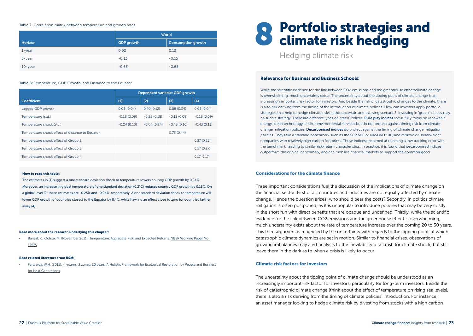### Table 7: Correlation matrix between temperature and growth rates.

|            | World             |                           |  |
|------------|-------------------|---------------------------|--|
| Horizon    | <b>GDP</b> growth | <b>Consumption growth</b> |  |
| $1$ -year  | 0.02              | 0.12                      |  |
| 5-year     | $-0.13$           | $-0.15$                   |  |
| $10$ -year | $-0.63$           | $-0.65$                   |  |

### Table 8: Temperature, GDP Growth, and Distance to the Equator

|                                                 | Dependent variable: GDP growth |               |               |               |
|-------------------------------------------------|--------------------------------|---------------|---------------|---------------|
| <b>Coefficient</b>                              | (1)                            | (2)           | (3)           | (4)           |
| Lagged GDP growth                               | 0.08(0.04)                     | 0.40(0.12)    | 0.08(0.04)    | 0.08(0.04)    |
| Temperature (std.)                              | $-0.18(0.09)$                  | $-0.25(0.18)$ | $-0.18(0.09)$ | $-0.18(0.09)$ |
| Temperature shock (std.)                        | $-0.24(0.10)$                  | $-0.04(0.24)$ | $-0.43(0.16)$ | $-0.43(0.13)$ |
| Temperature shock effect of distance to Equator |                                |               | 0.73(0.44)    |               |
| Temperature shock effect of Group 2             |                                |               |               | 0.27(0.25)    |
| Temperature shock effect of Group 3             |                                |               |               | 0.57(0.27)    |
| Temperature shock effect of Group 4             |                                |               |               | 0.17(0.17)    |

### How to read this table:

The estimates in (1) suggest a one standard deviation shock to temperature lowers country GDP growth by 0.24%. Moreover, an increase in global temperature of one standard deviation (0.2°C) reduces country GDP growth by 0.18%. On a global level (2) these estimates are -0.25% and -0.04%, respectively. A one standard deviation shock to temperature will lower GDP growth of countries closest to the Equator by 0.4%, while hav-ing an effect close to zero for countries farther away (4).

### Read more about the research underlying this chapter:

• Bansal, R., Ochoa, M. (November 2011), Temperature, Aggregate Risk, and Expected Returns, [NBER Working Paper No.](https://www.nber.org/papers/w17575)  [17575](https://www.nber.org/papers/w17575)

### Read related literature from RSM:

• Ferwerda, W.H. (2015), 4 returns, 3 zones, [20 years: A Holistic Framework for Ecological Restoration by People and Business](https://www.rsm.nl/fileadmin/Images_NEW/General/28117_gh_brochure_Ecotrans_BIWERK_Online.pdf)  [for Next Generations](https://www.rsm.nl/fileadmin/Images_NEW/General/28117_gh_brochure_Ecotrans_BIWERK_Online.pdf).

# 8 Portfolio strategies and<br>8 climate risk hedging

Hedging climate risk

### Relevance for Business and Business Schools:

While the scientific evidence for the link between CO2 emissions and the greenhouse effect/climate change is overwhelming, much uncertainty exists. The uncertainty about the tipping point of climate change is an increasingly important risk factor for investors. And beside the risk of catastrophic changes to the climate, there is also risk deriving from the timing of the introduction of climate policies. How can investors apply portfolio strategies that help to hedge climate risks in this uncertain and evolving scenario? Investing in 'green' indices may be such a strategy. There are different types of 'green' indices. Pure play indices focus fully focus on renewable energy, clean technology, and/or environmental services but do not protect against timing risk from climate change mitigation policies. Decarbonised indices do protect against the timing of climate change mitigation policies. They take a standard benchmark such as the S&P 500 or NASDAQ 100, and remove or underweight companies with relatively high carbon footprints. These indices are aimed at retaining a low tracking error with the benchmark, leading to similar risk-return characteristics. In practice, it is found that decarbonised indices outperform the original benchmark, and can mobilise financial markets to support the common good.

### Considerations for the climate finance

Three important considerations fuel the discussion of the implications of climate change on the financial sector. First of all, countries and industries are not equally affected by climate change. Hence the question arises: who should bear the costs? Secondly, in politics climate mitigation is often postponed, as it is unpopular to introduce policies that may be very costly in the short run with direct benefits that are opaque and undefined. Thirdly, while the scientific evidence for the link between CO2 emissions and the greenhouse effect is overwhelming, much uncertainty exists about the rate of temperature increase over the coming 20 to 30 years. This third argument is magnified by the uncertainty with regards to the 'tipping point' at which catastrophic climate dynamics are set in motion. Similar to financial crises, observations of growing imbalances may alert analysts to the inevitability of a crash (or climate shock) but still leave them in the dark as to when a crisis is likely to occur.

### Climate risk factors for investors

The uncertainty about the tipping point of climate change should be understood as an increasingly important risk factor for investors, particularly for long-term investors. Beside the risk of catastrophic climate change (think about the effect of temperature on rising sea levels), there is also a risk deriving from the timing of climate policies' introduction. For instance, an asset manager looking to hedge climate risk by divesting from stocks with a high carbon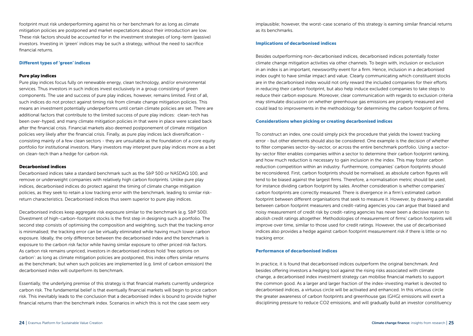footprint must risk underperforming against his or her benchmark for as long as climate mitigation policies are postponed and market expectations about their introduction are low. These risk factors should be accounted for in the investment strategies of long-term (passive) investors. Investing in 'green' indices may be such a strategy, without the need to sacrifice financial returns.

### Different types of 'green' indices

### Pure play indices

Pure play indices focus fully on renewable energy, clean technology, and/or environmental services. Thus investors in such indices invest exclusively in a group consisting of green components. The use and success of pure play indices, however, remains limited. First of all, such indices do not protect against timing risk from climate change mitigation policies. This means an investment potentially underperforms until certain climate policies are set. There are additional factors that contribute to the limited success of pure play indices: clean-tech has been over-hyped, and many climate mitigation policies in that were in place were scaled back after the financial crisis. Financial markets also deemed postponement of climate mitigation policies very likely after the financial crisis. Finally, as pure play indices lack diversification consisting mainly of a few clean sectors - they are unsuitable as the foundation of a core equity portfolio for institutional investors. Many investors may interpret pure play indices more as a bet on clean-tech than a hedge for carbon risk.

### Decarbonised indices

Decarbonised indices take a standard benchmark such as the S&P 500 or NASDAQ 100, and remove or underweight companies with relatively high carbon footprints. Unlike pure play indices, decarbonised indices do protect against the timing of climate change mitigation policies, as they seek to retain a low tracking error with the benchmark, leading to similar riskreturn characteristics. Decarbonised indices thus seem superior to pure play indices.

Decarbonised indices keep aggregate risk exposure similar to the benchmark (e.g. S&P 500). Divestment of high-carbon-footprint stocks is the first step in designing such a portfolio. The second step consists of optimising the composition and weighting, such that the tracking error is minimalised; the tracking error can be virtually eliminated while having much lower carbon exposure. Ideally, the only difference between the decarbonised index and the benchmark is exposure to the carbon risk factor while having similar exposure to other priced risk factors. As carbon risk remains unpriced, investors in decarbonised indices hold 'free options on carbon': as long as climate mitigation policies are postponed, this index offers similar returns as the benchmark; but when such policies are implemented (e.g. limit of carbon emission) the decarbonised index will outperform its benchmark.

Essentially, the underlying premise of this strategy is that financial markets currently underprice carbon risk. The fundamental belief is that eventually financial markets will begin to price carbon risk. This inevitably leads to the conclusion that a decarbonised index is bound to provide higher financial returns than the benchmark index. Scenarios in which this is not the case seem very

implausible; however, the worst-case scenario of this strategy is earning similar financial returns as its benchmarks.

### Implications of decarbonised indices

Besides outperforming non-decarbonised indices, decarbonised indices potentially foster climate change mitigation activities via other channels. To begin with, inclusion or exclusion in an index is an important, newsworthy event for a firm. Hence, inclusion in a decarbonised index ought to have similar impact and value. Clearly communicating which constituent stocks are in the decarbonised index would not only reward the included companies for their efforts in reducing their carbon footprint, but also help induce excluded companies to take steps to reduce their carbon exposure. Moreover, clear communication with regards to exclusion criteria may stimulate discussion on whether greenhouse gas emissions are properly measured and could lead to improvements in the methodology for determining the carbon footprint of firms.

### Considerations when picking or creating decarbonised indices

To construct an index, one could simply pick the procedure that yields the lowest tracking error - but other elements should also be considered. One example is the decision of whether to filter companies sector-by-sector, or across the entire benchmark portfolio. Using a sectorby-sector filter enables companies within a sector to determine their carbon footprint ranking, and how much reduction is necessary to gain inclusion in the index. This may foster carbon reduction competition within an industry. Furthermore, companies' carbon footprints should be reconsidered. First, carbon footprints should be normalised, as absolute carbon figures will tend to be biased against the largest firms. Therefore, a normalisation metric should be used, for instance dividing carbon footprint by sales. Another consideration is whether companies' carbon footprints are correctly measured. There is divergence in a firm's estimated carbon footprint between different organisations that seek to measure it. However, by drawing a parallel between carbon footprint measurers and credit-rating agencies you can argue that biased and noisy measurement of credit risk by credit-rating agencies has never been a decisive reason to abolish credit ratings altogether. Methodologies of measurement of firms' carbon footprints will improve over time, similar to those used for credit ratings. However, the use of decarbonised indices also provides a hedge against carbon footprint measurement risk if there is little or no tracking error.

### Performance of decarbonised indices

In practice, it is found that decarbonised indices outperform the original benchmark. And besides offering investors a hedging tool against the rising risks associated with climate change, a decarbonised index investment strategy can mobilise financial markets to support the common good. As a larger and larger fraction of the index-investing market is devoted to decarbonised indices, a virtuous circle will be activated and enhanced. In this virtuous circle the greater awareness of carbon footprints and greenhouse gas (GHG) emissions will exert a disciplining pressure to reduce CO2 emissions, and will gradually build an investor constituency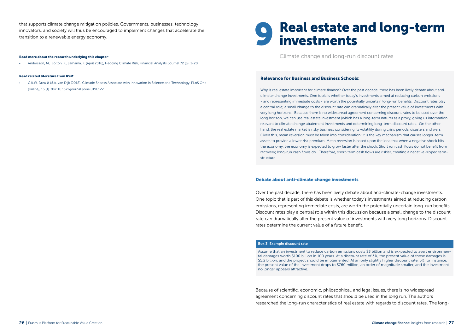that supports climate change mitigation policies. Governments, businesses, technology innovators, and society will thus be encouraged to implement changes that accelerate the transition to a renewable energy economy.

### Read more about the research underlying this chapter:

• Andersson, M., Bolton, P., Samama, F. (April 2016), Hedging Climate Risk, [Financial Analysts Journal 72 \(3\): 1-20.](https://www.cfapubs.org/doi/abs/10.2469/faj.v72.n3.4)

### Read related literature from RSM:

• C.K.W. Dreu & M.A. van Dijk (2018). Climatic Shocks Associate with Innovation in Science and Technology. PLoS One (online), 13 (1). doi: [10.1371/journal.pone.0190122](https://www.rsm.nl/fileadmin/Images_NEW/Erasmus_Platform_for_Sustainable_Value_Creation/11_03_Working_Papers_Climate_shocks_associate_with_innovation_in_science_technology.pdf)

# 9 Real estate and long-term investments

Climate change and long-run discount rates

### Relevance for Business and Business Schools:

Why is real estate important for climate finance? Over the past decade, there has been lively debate about anticlimate-change investments. One topic is whether today's investments aimed at reducing carbon emissions - and representing immediate costs - are worth the potentially uncertain long-run benefits. Discount rates play a central role; a small change to the discount rate can dramatically alter the present value of investments with very long horizons. Because there is no widespread agreement concerning discount rates to be used over the long horizon, we can use real estate investment (which has a long-term nature) as a proxy, giving us information relevant to climate change abatement investments and determining long-term discount rates. On the other hand, the real estate market is risky business considering its volatility during crisis periods, disasters and wars. Given this, mean reversion must be taken into consideration: it is the key mechanism that causes longer-term assets to provide a lower risk premium. Mean reversion is based upon the idea that when a negative shock hits the economy, the economy is expected to grow faster after the shock. Short run cash flows do not benefit from recovery; long-run cash flows do. Therefore, short-term cash flows are riskier, creating a negative-sloped termstructure.

### Debate about anti-climate change investments

Over the past decade, there has been lively debate about anti-climate-change investments. One topic that is part of this debate is whether today's investments aimed at reducing carbon emissions, representing immediate costs, are worth the potentially uncertain long-run benefits. Discount rates play a central role within this discussion because a small change to the discount rate can dramatically alter the present value of investments with very long horizons. Discount rates determine the current value of a future benefit.

### Box 3: Example discount rate

Assume that an investment to reduce carbon emissions costs \$3 billion and is ex-pected to avert environmental damages worth \$100 billion in 100 years. At a discount rate of 3%, the present value of those damages is \$5.2 billion, and the project should be implemented. At an only slightly higher discount rate, 5% for instance, the present value of the investment drops to \$760 million, an order of magnitude smaller, and the investment no longer appears attractive.

Because of scientific, economic, philosophical, and legal issues, there is no widespread agreement concerning discount rates that should be used in the long run. The authors researched the long-run characteristics of real estate with regards to discount rates. The long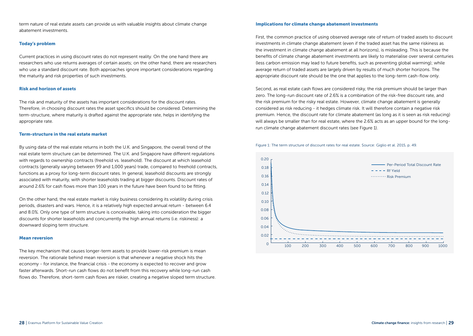term nature of real estate assets can provide us with valuable insights about climate change abatement investments.

### Today's problem

Current practices in using discount rates do not represent reality. On the one hand there are researchers who use returns averages of certain assets; on the other hand, there are researchers who use a standard discount rate. Both approaches ignore important considerations regarding the maturity and risk properties of such investments.

### Risk and horizon of assets

The risk and maturity of the assets has important considerations for the discount rates. Therefore, in choosing discount rates the asset specifics should be considered. Determining the term-structure, where maturity is drafted against the appropriate rate, helps in identifying the appropriate rate.

### Term-structure in the real estate market

By using data of the real estate returns in both the U.K. and Singapore, the overall trend of the real estate term structure can be determined. The U.K. and Singapore have different regulations with regards to ownership contracts (freehold vs. leasehold). The discount at which leasehold contracts (generally varying between 99 and 1,000 years) trade, compared to freehold contracts, functions as a proxy for long-term discount rates. In general, leasehold discounts are strongly associated with maturity, with shorter leaseholds trading at bigger discounts. Discount rates of around 2.6% for cash flows more than 100 years in the future have been found to be fitting.

On the other hand, the real estate market is risky business considering its volatility during crisis periods, disasters and wars. Hence, it is a relatively high expected annual return - between 6.4 and 8.0%. Only one type of term structure is conceivable, taking into consideration the bigger discounts for shorter leaseholds and concurrently the high annual returns (i.e. riskiness): a downward sloping term structure.

### Mean reversion

The key mechanism that causes longer-term assets to provide lower-risk premium is mean reversion. The rationale behind mean reversion is that whenever a negative shock hits the economy - for instance, the financial crisis - the economy is expected to recover and grow faster afterwards. Short-run cash flows do not benefit from this recovery while long-run cash flows do. Therefore, short-term cash flows are riskier, creating a negative sloped term structure.

### Implications for climate change abatement investments

First, the common practice of using observed average rate of return of traded assets to discount investments in climate change abatement (even if the traded asset has the same riskiness as the investment in climate change abatement at all horizons), is misleading. This is because the benefits of climate change abatement investments are likely to materialise over several centuries (less carbon emission may lead to future benefits, such as preventing global warming); while average return of traded assets are largely driven by results of much shorter horizons. The appropriate discount rate should be the one that applies to the long-term cash-flow only.

Second, as real estate cash flows are considered risky, the risk premium should be larger than zero. The long-run discount rate of 2.6% is a combination of the risk-free discount rate, and the risk premium for the risky real estate. However, climate change abatement is generally considered as risk reducing - it hedges climate risk. It will therefore contain a negative risk premium. Hence, the discount rate for climate abatement (as long as it is seen as risk reducing) will always be smaller than for real estate, where the 2.6% acts as an upper bound for the longrun climate change abatement discount rates (see Figure 1).



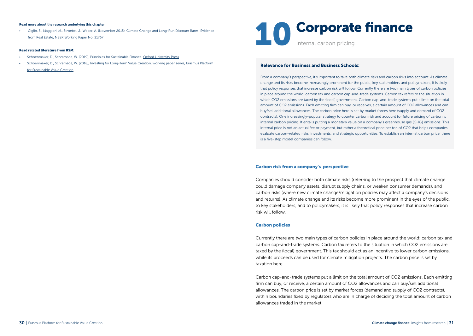### Read more about the research underlying this chapter:

• Giglio, S., Maggiori, M., Stroebel, J., Weber, A. (November 2015), Climate Change and Long-Run Discount Rates: Evidence from Real Estate, [NBER Working Paper No. 21767](https://www.nber.org/papers/w21767)

### Read related literature from RSM:

- Schoenmaker, D., Schramade, W. (2019), Principles for Sustainable Finance, [Oxford University Press](https://global.oup.com/academic/product/principles-of-sustainable-finance-9780198826606?cc=nl&lang=en&#)
- Schoenmaker, D., Schramade, W. (2018), Investing for Long-Term Value Creation, working paper series, [Erasmus Platform](https://www.rsm.nl/fileadmin/Images_NEW/Erasmus_Platform_for_Sustainable_Value_Creation/11_01_Working_Papers_LTVC.pdf)  [for Sustainable Value Creation](https://www.rsm.nl/fileadmin/Images_NEW/Erasmus_Platform_for_Sustainable_Value_Creation/11_01_Working_Papers_LTVC.pdf)



### Relevance for Business and Business Schools:

From a company's perspective, it's important to take both climate risks and carbon risks into account. As climate change and its risks become increasingly prominent for the public, key stakeholders and policymakers, it is likely that policy responses that increase carbon risk will follow. Currently there are two main types of carbon policies in place around the world: carbon tax and carbon cap-and-trade systems. Carbon tax refers to the situation in which CO2 emissions are taxed by the (local) government. Carbon cap-and-trade systems put a limit on the total amount of CO2 emissions. Each emitting firm can buy, or receives, a certain amount of CO2 allowances and can buy/sell additional allowances. The carbon price here is set by market forces here (supply and demand of CO2 contracts). One increasingly-popular strategy to counter carbon risk and account for future pricing of carbon is internal carbon pricing. It entails putting a monetary value on a company's greenhouse gas (GHG) emissions. This internal price is not an actual fee or payment, but rather a theoretical price per ton of CO2 that helps companies evaluate carbon-related risks, investments, and strategic opportunities. To establish an internal carbon price, there is a five-step model companies can follow.

### Carbon risk from a company's perspective

Companies should consider both climate risks (referring to the prospect that climate change could damage company assets, disrupt supply chains, or weaken consumer demands), and carbon risks (where new climate change/mitigation policies may affect a company's decisions and returns). As climate change and its risks become more prominent in the eyes of the public, to key stakeholders, and to policymakers, it is likely that policy responses that increase carbon risk will follow.

### Carbon policies

Currently there are two main types of carbon policies in place around the world: carbon tax and carbon cap-and-trade systems. Carbon tax refers to the situation in which CO2 emissions are taxed by the (local) government. This tax should act as an incentive to lower carbon emissions, while its proceeds can be used for climate mitigation projects. The carbon price is set by taxation here.

Carbon cap-and-trade systems put a limit on the total amount of CO2 emissions. Each emitting firm can buy, or receive, a certain amount of CO2 allowances and can buy/sell additional allowances. The carbon price is set by market forces (demand and supply of CO2 contracts), within boundaries fixed by regulators who are in charge of deciding the total amount of carbon allowances traded in the market.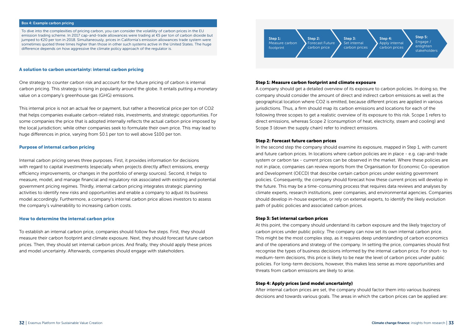### Box 4: Example carbon pricing

To dive into the complexities of pricing carbon, you can consider the volatility of carbon prices in the EU emission trading scheme. In 2017 cap-and-trade allowances were trading at €5 per ton of carbon dioxide but jumped to €20 per ton in 2018. Simultaneously, prices in California's emission allowances trade system were sometimes quoted three times higher than those in other such systems active in the United States. The huge difference depends on how aggressive the climate policy approach of the regulator is.

### A solution to carbon uncertainty: internal carbon pricing

One strategy to counter carbon risk and account for the future pricing of carbon is internal carbon pricing. This strategy is rising in popularity around the globe. It entails putting a monetary value on a company's greenhouse gas (GHG) emissions.

This internal price is not an actual fee or payment, but rather a theoretical price per ton of CO2 that helps companies evaluate carbon-related risks, investments, and strategic opportunities. For some companies the price that is adopted internally reflects the actual carbon price imposed by the local jurisdiction; while other companies seek to formulate their own price. This may lead to huge differences in price, varying from \$0.1 per ton to well above \$100 per ton.

### Purpose of internal carbon pricing

Internal carbon pricing serves three purposes. First, it provides information for decisions with regard to capital investments (especially when projects directly affect emissions, energy efficiency improvements, or changes in the portfolio of energy sources). Second, it helps to measure, model, and manage financial and regulatory risk associated with existing and potential government pricing regimes. Thirdly, internal carbon pricing integrates strategic planning activities to identify new risks and opportunities and enable a company to adjust its business model accordingly. Furthermore, a company's internal carbon price allows investors to assess the company's vulnerability to increasing carbon costs.

### How to determine the internal carbon price

To establish an internal carbon price, companies should follow five steps. First, they should measure their carbon footprint and climate exposure. Next, they should forecast future carbon prices. Then, they should set internal carbon prices. And finally, they should apply these prices and model uncertainty. Afterwards, companies should engage with stakeholders.



### Step 1: Measure carbon footprint and climate exposure

A company should get a detailed overview of its exposure to carbon policies. In doing so, the company should consider the amount of direct and indirect carbon emissions as well as the geographical location where CO2 is emitted, because different prices are applied in various jurisdictions. Thus, a firm should map its carbon emissions and locations for each of the following three scopes to get a realistic overview of its exposure to this risk. Scope 1 refers to direct emissions, whereas Scope 2 (consumption of heat, electricity, steam and cooling) and Scope 3 (down the supply chain) refer to indirect emissions.

### Step 2: Forecast future carbon prices

In the second step the company should examine its exposure, mapped in Step 1, with current and future carbon prices. In locations where carbon policies are in place - e.g. cap-and-trade system or carbon tax - current prices can be observed in the market. Where these policies are not in place, companies can review reports from the Organisation for Economic Co-operation and Development (OECD) that describe certain carbon prices under existing government policies. Consequently, the company should forecast how these current prices will develop in the future. This may be a time-consuming process that requires data reviews and analyses by climate experts, research institutions, peer companies, and environmental agencies. Companies should develop in-house expertise, or rely on external experts, to identify the likely evolution path of public policies and associated carbon prices.

### Step 3: Set internal carbon prices

At this point, the company should understand its carbon exposure and the likely trajectory of carbon prices under public policy. The company can now set its own internal carbon price. This might be the most complex step, as it requires deep understanding of carbon economics and of the operations and strategy of the company. In setting the price, companies should first recognise the types of business decisions informed by the internal carbon price. For short- to medium-term decisions, this price is likely to be near the level of carbon prices under public policies. For long-term decisions, however, this makes less sense as more opportunities and threats from carbon emissions are likely to arise.

### Step 4: Apply prices (and model uncertainty)

After internal carbon prices are set, the company should factor them into various business decisions and towards various goals. The areas in which the carbon prices can be applied are: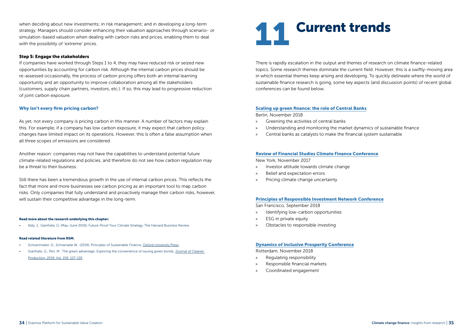when deciding about new investments; in risk management; and in developing a long-term strategy. Managers should consider enhancing their valuation approaches through scenario- or simulation-based valuation when dealing with carbon risks and prices, enabling them to deal with the possibility of 'extreme' prices.

### Step 5: Engage the stakeholders

If companies have worked through Steps 1 to 4, they may have reduced risk or seized new opportunities by accounting for carbon risk. Although the internal carbon prices should be re-assessed occasionally, the process of carbon pricing offers both an internal learning opportunity and an opportunity to improve collaboration among all the stakeholders (customers, supply chain partners, investors, etc.). If so, this may lead to progressive reduction of joint carbon exposure.

### Why isn't every firm pricing carbon?

As yet, not every company is pricing carbon in this manner. A number of factors may explain this. For example, if a company has low carbon exposure, it may expect that carbon policy changes have limited impact on its operations. However, this is often a false assumption when all three scopes of emissions are considered.

Another reason: companies may not have the capabilities to understand potential future climate-related regulations and policies, and therefore do not see how carbon regulation may be a threat to their business.

Still there has been a tremendous growth in the use of internal carbon prices. This reflects the fact that more and more businesses see carbon pricing as an important tool to map carbon risks. Only companies that fully understand and proactively manage their carbon risks, however, will sustain their competitive advantage in the long-term.

### Read more about the research underlying this chapter:

• Aldy, J., Gianfrate, G. (May-June 2019), Future-Proof Your Climate Strategy, The Harvard Business Review

### Read related literature from RSM:

- Schoenmaker, D., Schramade W., (2019), Principles of Sustainable Finance, [Oxford University Press](https://global.oup.com/academic/product/principles-of-sustainable-finance-9780198826606?cc=nl&lang=en&#)
- Gianfrate, G., Peri, M. The green advantage: Exploring the convenience of issuing green bonds, Journal of Cleaner [Production, 2019, Vol. 219: 127-135](https://www.cepweb.org/wp-content/uploads/2018/11/Gianfrate_Paper.pdf).

### **Current trends**

There is rapidly escalation in the output and themes of research on climate finance-related topics. Some research themes dominate the current field. However, this is a swiftly-moving area in which essential themes keep arising and developing. To quickly delineate where the world of sustainable finance research is going, some key aspects (and discussion points) of recent global conferences can be found below.

### [Scaling up green finance: the role of Central Banks](https://www.cepweb.org/scaling-up-green-finance-the-role-of-central-banks/)

Berlin, November 2018

- » Greening the activities of central banks
- » Understanding and monitoring the market dynamics of sustainable finance
- » Central banks as catalysts to make the financial system sustainable

### [Review of Financial Studies Climate Finance Conference](https://econ.columbia.edu/event/climate-finance-workshop/)

New York, November 2017

- » Investor attitude towards climate change
- » Belief and expectation errors
- » Pricing climate change uncertainty

### [Principles of Responsible Investment Network Conference](https://www.unpri.org/Uploads/f/m/o/priinperson_conferencereport_2018_208173.pdf)

San Francisco, September 2018

- » Identifying low-carbon opportunities
- » ESG in private equity
- » Obstacles to responsible investing

### [Dynamics of Inclusive Prosperity Conference](https://www.eur.nl/en/research/erasmus-initiatives/dynamics-inclusive-prosperity/conference-dynamics-inclusive-prosperity)

Rotterdam, November 2018

- » Regulating responsibility
- » Responsible financial markets
- » Coordinated engagement